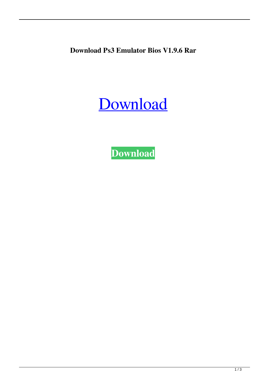**Download Ps3 Emulator Bios V1.9.6 Rar**

[Download](http://evacdir.com/densit/ZG93bmxvYWR8R20wTVhRMU0zeDhNVFkxTWpjME1EZzJObng4TWpVM05IeDhLRTBwSUhKbFlXUXRZbXh2WnlCYlJtRnpkQ0JIUlU1ZA.producation?salmonella.ZG93bmxvYWQgcHMzIGVtdWxhdG9yIGJpb3MgdjEuOS42IHJhcgZG9=cowart)

**[Download](http://evacdir.com/densit/ZG93bmxvYWR8R20wTVhRMU0zeDhNVFkxTWpjME1EZzJObng4TWpVM05IeDhLRTBwSUhKbFlXUXRZbXh2WnlCYlJtRnpkQ0JIUlU1ZA.producation?salmonella.ZG93bmxvYWQgcHMzIGVtdWxhdG9yIGJpb3MgdjEuOS42IHJhcgZG9=cowart)**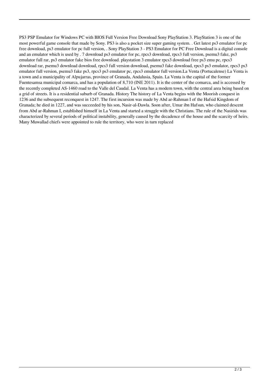PS3 PSP Emulator for Windows PC with BIOS Full Version Free Download Sony PlayStation 3. PlayStation 3 is one of the most powerful game console that made by Sony. PS3 is also a pocket size super gaming system. . Get latest ps3 emulator for pc free download, ps3 emulator for pc full version, . Sony PlayStation 3 - PS3 Emulator for PC Free Download is a digital console and an emulator which is used by . 7 download ps3 emulator for pc, rpcs3 download, rpcs3 full version, psemu3 fake, ps3 emulator full rar, ps3 emulator fake bios free download. playstation 3 emulator rpcs3 download free ps3 emu pc, rpcs3 download rar, psemu3 download download, rpcs3 full version download, psemu3 fake download, rpcs3 ps3 emulator, rpcs3 ps3 emulator full version, psemu3 fake ps3, rpcs3 ps3 emulator pc, rpcs3 emulator full version.La Venta (Portucalense) La Venta is a town and a municipality of Alpujarras, province of Granada, Andalusia, Spain. La Venta is the capital of the former Fuentesamsa municipal comarca, and has a population of 8,710 (INE 2011). It is the center of the comarca, and is accessed by the recently completed AS-1460 road to the Valle del Caudal. La Venta has a modern town, with the central area being based on a grid of streets. It is a residential suburb of Granada. History The history of La Venta begins with the Moorish conquest in 1236 and the subsequent reconquest in 1247. The first incursion was made by Abd ar-Rahman I of the Hafsid Kingdom of Granada; he died in 1227, and was succeeded by his son, Nasir-al-Dawla. Soon after, Umar ibn Hafsun, who claimed descent from Abd ar-Rahman I, established himself in La Venta and started a struggle with the Christians. The rule of the Nasirids was characterized by several periods of political instability, generally caused by the decadence of the house and the scarcity of heirs. Many Muwallad chiefs were appointed to rule the territory, who were in turn replaced